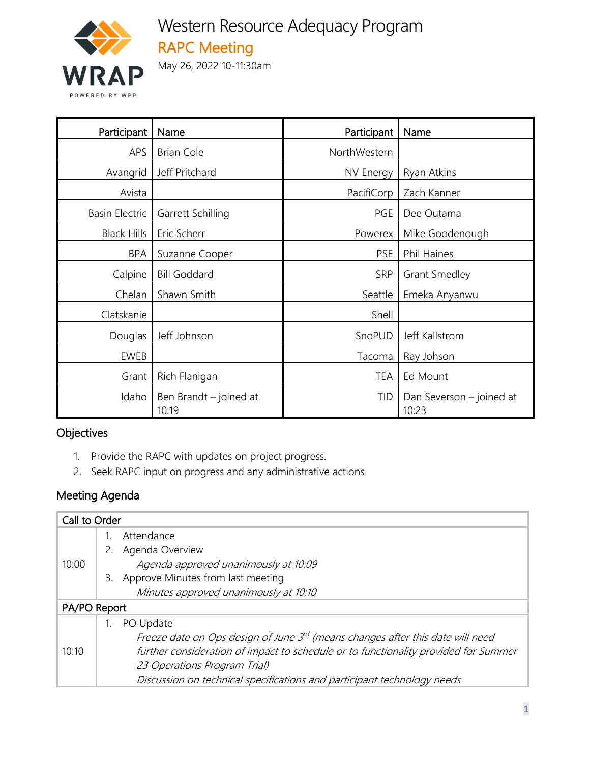

# Western Resource Adequacy Program RAPC Meeting

May 26, 2022 10-11:30am

| Participant           | Name                            | Participant  | Name                              |
|-----------------------|---------------------------------|--------------|-----------------------------------|
| <b>APS</b>            | <b>Brian Cole</b>               | NorthWestern |                                   |
| Avangrid              | Jeff Pritchard                  | NV Energy    | Ryan Atkins                       |
| Avista                |                                 | PacifiCorp   | Zach Kanner                       |
| <b>Basin Electric</b> | Garrett Schilling               | PGE          | Dee Outama                        |
| <b>Black Hills</b>    | Eric Scherr                     | Powerex      | Mike Goodenough                   |
| <b>BPA</b>            | Suzanne Cooper                  | <b>PSE</b>   | <b>Phil Haines</b>                |
| Calpine               | <b>Bill Goddard</b>             | <b>SRP</b>   | <b>Grant Smedley</b>              |
| Chelan                | Shawn Smith                     | Seattle      | Emeka Anyanwu                     |
| Clatskanie            |                                 | Shell        |                                   |
| Douglas               | Jeff Johnson                    | SnoPUD       | Jeff Kallstrom                    |
| EWEB                  |                                 | Tacoma       | Ray Johson                        |
| Grant                 | Rich Flanigan                   | <b>TEA</b>   | Ed Mount                          |
| Idaho                 | Ben Brandt - joined at<br>10:19 | TID          | Dan Severson - joined at<br>10:23 |

#### **Objectives**

- 1. Provide the RAPC with updates on project progress.
- 2. Seek RAPC input on progress and any administrative actions

### Meeting Agenda

| Call to Order |    |                                                                                     |  |
|---------------|----|-------------------------------------------------------------------------------------|--|
|               |    | Attendance                                                                          |  |
|               | 2. | Agenda Overview                                                                     |  |
| 10:00         |    | Agenda approved unanimously at 10:09                                                |  |
|               |    | 3. Approve Minutes from last meeting                                                |  |
|               |    | Minutes approved unanimously at 10:10                                               |  |
| PA/PO Report  |    |                                                                                     |  |
|               |    | PO Update                                                                           |  |
| 10:10         |    | Freeze date on Ops design of June 3rd (means changes after this date will need      |  |
|               |    | further consideration of impact to schedule or to functionality provided for Summer |  |
|               |    | 23 Operations Program Trial)                                                        |  |
|               |    | Discussion on technical specifications and participant technology needs             |  |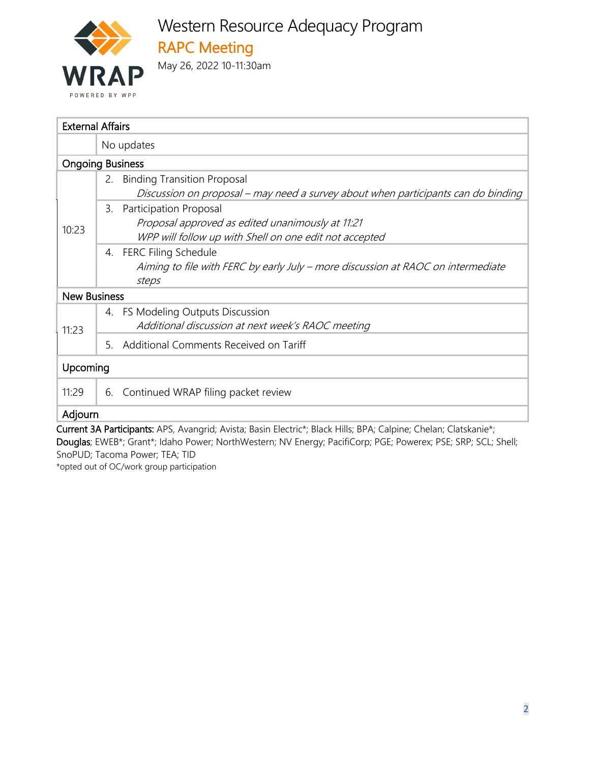

| <b>External Affairs</b>                                                                                                                             |  |  |  |  |
|-----------------------------------------------------------------------------------------------------------------------------------------------------|--|--|--|--|
| No updates                                                                                                                                          |  |  |  |  |
| <b>Ongoing Business</b>                                                                                                                             |  |  |  |  |
| <b>Binding Transition Proposal</b><br>2.<br>Discussion on proposal – may need a survey about when participants can do binding                       |  |  |  |  |
| Participation Proposal<br>3.<br>Proposal approved as edited unanimously at 11:21<br>10:23<br>WPP will follow up with Shell on one edit not accepted |  |  |  |  |
| 4. FERC Filing Schedule<br>Aiming to file with FERC by early July - more discussion at RAOC on intermediate<br>steps                                |  |  |  |  |
| <b>New Business</b>                                                                                                                                 |  |  |  |  |
| 4. FS Modeling Outputs Discussion<br>Additional discussion at next week's RAOC meeting<br>11:23                                                     |  |  |  |  |
| Additional Comments Received on Tariff<br>5.                                                                                                        |  |  |  |  |
| Upcoming                                                                                                                                            |  |  |  |  |
| 11:29<br>6. Continued WRAP filing packet review                                                                                                     |  |  |  |  |
| Adjourn                                                                                                                                             |  |  |  |  |

Current 3A Participants: APS, Avangrid; Avista; Basin Electric\*; Black Hills; BPA; Calpine; Chelan; Clatskanie\*; Douglas; EWEB\*; Grant\*; Idaho Power; NorthWestern; NV Energy; PacifiCorp; PGE; Powerex; PSE; SRP; SCL; Shell; SnoPUD; Tacoma Power; TEA; TID

\*opted out of OC/work group participation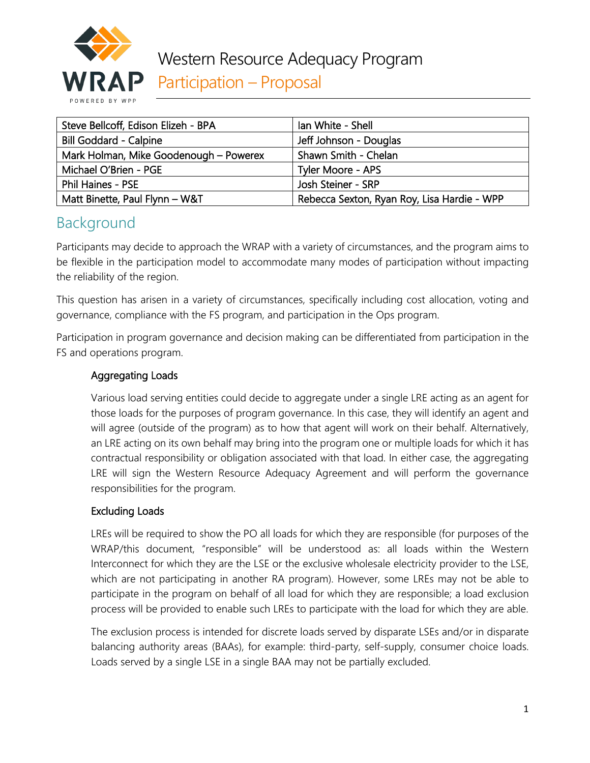

| Steve Bellcoff, Edison Elizeh - BPA    | lan White - Shell                           |  |
|----------------------------------------|---------------------------------------------|--|
| <b>Bill Goddard - Calpine</b>          | Jeff Johnson - Douglas                      |  |
| Mark Holman, Mike Goodenough - Powerex | Shawn Smith - Chelan                        |  |
| Michael O'Brien - PGE                  | Tyler Moore - APS                           |  |
| <b>Phil Haines - PSE</b>               | Josh Steiner - SRP                          |  |
| Matt Binette, Paul Flynn - W&T         | Rebecca Sexton, Ryan Roy, Lisa Hardie - WPP |  |

# Background

Participants may decide to approach the WRAP with a variety of circumstances, and the program aims to be flexible in the participation model to accommodate many modes of participation without impacting the reliability of the region.

This question has arisen in a variety of circumstances, specifically including cost allocation, voting and governance, compliance with the FS program, and participation in the Ops program.

Participation in program governance and decision making can be differentiated from participation in the FS and operations program.

#### Aggregating Loads

Various load serving entities could decide to aggregate under a single LRE acting as an agent for those loads for the purposes of program governance. In this case, they will identify an agent and will agree (outside of the program) as to how that agent will work on their behalf. Alternatively, an LRE acting on its own behalf may bring into the program one or multiple loads for which it has contractual responsibility or obligation associated with that load. In either case, the aggregating LRE will sign the Western Resource Adequacy Agreement and will perform the governance responsibilities for the program.

#### Excluding Loads

LREs will be required to show the PO all loads for which they are responsible (for purposes of the WRAP/this document, "responsible" will be understood as: all loads within the Western Interconnect for which they are the LSE or the exclusive wholesale electricity provider to the LSE, which are not participating in another RA program). However, some LREs may not be able to participate in the program on behalf of all load for which they are responsible; a load exclusion process will be provided to enable such LREs to participate with the load for which they are able.

The exclusion process is intended for discrete loads served by disparate LSEs and/or in disparate balancing authority areas (BAAs), for example: third-party, self-supply, consumer choice loads. Loads served by a single LSE in a single BAA may not be partially excluded.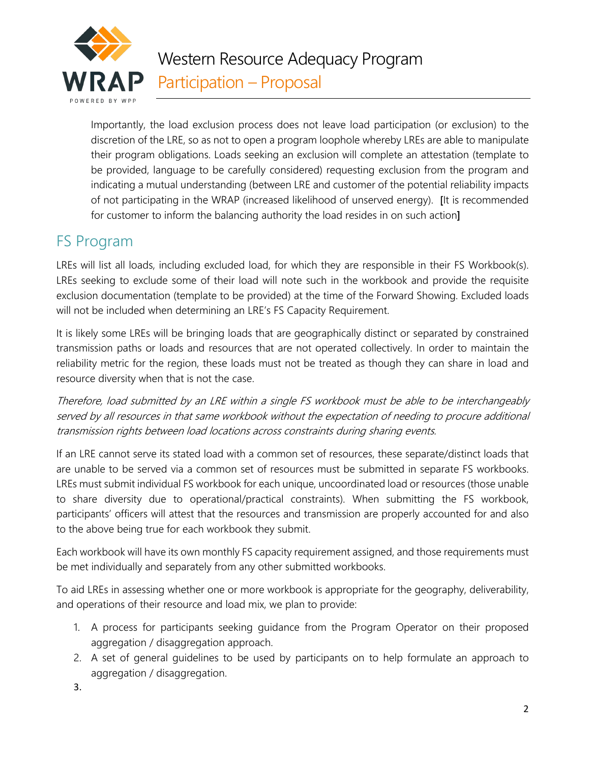

Importantly, the load exclusion process does not leave load participation (or exclusion) to the discretion of the LRE, so as not to open a program loophole whereby LREs are able to manipulate their program obligations. Loads seeking an exclusion will complete an attestation (template to be provided, language to be carefully considered) requesting exclusion from the program and indicating a mutual understanding (between LRE and customer of the potential reliability impacts of not participating in the WRAP (increased likelihood of unserved energy). [It is recommended for customer to inform the balancing authority the load resides in on such action]

### FS Program

LREs will list all loads, including excluded load, for which they are responsible in their FS Workbook(s). LREs seeking to exclude some of their load will note such in the workbook and provide the requisite exclusion documentation (template to be provided) at the time of the Forward Showing. Excluded loads will not be included when determining an LRE's FS Capacity Requirement.

It is likely some LREs will be bringing loads that are geographically distinct or separated by constrained transmission paths or loads and resources that are not operated collectively. In order to maintain the reliability metric for the region, these loads must not be treated as though they can share in load and resource diversity when that is not the case.

Therefore, load submitted by an LRE within a single FS workbook must be able to be interchangeably served by all resources in that same workbook without the expectation of needing to procure additional transmission rights between load locations across constraints during sharing events.

If an LRE cannot serve its stated load with a common set of resources, these separate/distinct loads that are unable to be served via a common set of resources must be submitted in separate FS workbooks. LREs must submit individual FS workbook for each unique, uncoordinated load or resources (those unable to share diversity due to operational/practical constraints). When submitting the FS workbook, participants' officers will attest that the resources and transmission are properly accounted for and also to the above being true for each workbook they submit.

Each workbook will have its own monthly FS capacity requirement assigned, and those requirements must be met individually and separately from any other submitted workbooks.

To aid LREs in assessing whether one or more workbook is appropriate for the geography, deliverability, and operations of their resource and load mix, we plan to provide:

- 1. A process for participants seeking guidance from the Program Operator on their proposed aggregation / disaggregation approach.
- 2. A set of general guidelines to be used by participants on to help formulate an approach to aggregation / disaggregation.
- 3.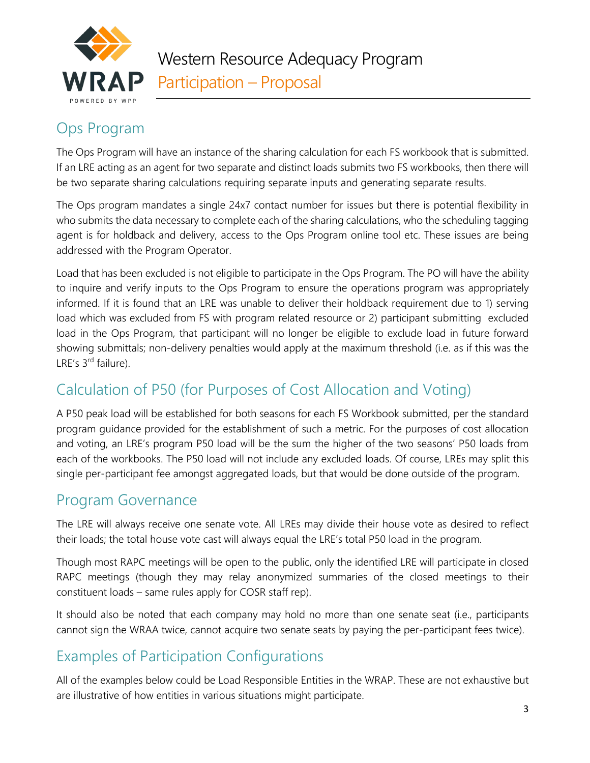

## Ops Program

The Ops Program will have an instance of the sharing calculation for each FS workbook that is submitted. If an LRE acting as an agent for two separate and distinct loads submits two FS workbooks, then there will be two separate sharing calculations requiring separate inputs and generating separate results.

The Ops program mandates a single 24x7 contact number for issues but there is potential flexibility in who submits the data necessary to complete each of the sharing calculations, who the scheduling tagging agent is for holdback and delivery, access to the Ops Program online tool etc. These issues are being addressed with the Program Operator.

Load that has been excluded is not eligible to participate in the Ops Program. The PO will have the ability to inquire and verify inputs to the Ops Program to ensure the operations program was appropriately informed. If it is found that an LRE was unable to deliver their holdback requirement due to 1) serving load which was excluded from FS with program related resource or 2) participant submitting excluded load in the Ops Program, that participant will no longer be eligible to exclude load in future forward showing submittals; non-delivery penalties would apply at the maximum threshold (i.e. as if this was the LRE's 3<sup>rd</sup> failure).

# Calculation of P50 (for Purposes of Cost Allocation and Voting)

A P50 peak load will be established for both seasons for each FS Workbook submitted, per the standard program guidance provided for the establishment of such a metric. For the purposes of cost allocation and voting, an LRE's program P50 load will be the sum the higher of the two seasons' P50 loads from each of the workbooks. The P50 load will not include any excluded loads. Of course, LREs may split this single per-participant fee amongst aggregated loads, but that would be done outside of the program.

### Program Governance

The LRE will always receive one senate vote. All LREs may divide their house vote as desired to reflect their loads; the total house vote cast will always equal the LRE's total P50 load in the program.

Though most RAPC meetings will be open to the public, only the identified LRE will participate in closed RAPC meetings (though they may relay anonymized summaries of the closed meetings to their constituent loads – same rules apply for COSR staff rep).

It should also be noted that each company may hold no more than one senate seat (i.e., participants cannot sign the WRAA twice, cannot acquire two senate seats by paying the per-participant fees twice).

### Examples of Participation Configurations

All of the examples below could be Load Responsible Entities in the WRAP. These are not exhaustive but are illustrative of how entities in various situations might participate.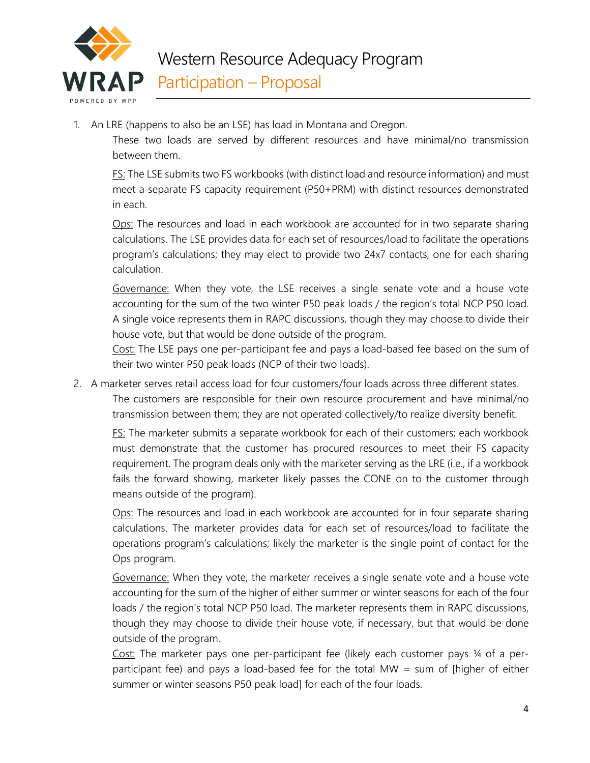

1. An LRE (happens to also be an LSE) has load in Montana and Oregon.

These two loads are served by different resources and have minimal/no transmission between them.

FS: The LSE submits two FS workbooks (with distinct load and resource information) and must meet a separate FS capacity requirement (P50+PRM) with distinct resources demonstrated in each.

Ops: The resources and load in each workbook are accounted for in two separate sharing calculations. The LSE provides data for each set of resources/load to facilitate the operations program's calculations; they may elect to provide two 24x7 contacts, one for each sharing calculation.

Governance: When they vote, the LSE receives a single senate vote and a house vote accounting for the sum of the two winter P50 peak loads / the region's total NCP P50 load. A single voice represents them in RAPC discussions, though they may choose to divide their house vote, but that would be done outside of the program.

Cost: The LSE pays one per-participant fee and pays a load-based fee based on the sum of their two winter P50 peak loads (NCP of their two loads).

2. A marketer serves retail access load for four customers/four loads across three different states.

The customers are responsible for their own resource procurement and have minimal/no transmission between them; they are not operated collectively/to realize diversity benefit.

FS: The marketer submits a separate workbook for each of their customers; each workbook must demonstrate that the customer has procured resources to meet their FS capacity requirement. The program deals only with the marketer serving as the LRE (i.e., if a workbook fails the forward showing, marketer likely passes the CONE on to the customer through means outside of the program).

Ops: The resources and load in each workbook are accounted for in four separate sharing calculations. The marketer provides data for each set of resources/load to facilitate the operations program's calculations; likely the marketer is the single point of contact for the Ops program.

Governance: When they vote, the marketer receives a single senate vote and a house vote accounting for the sum of the higher of either summer or winter seasons for each of the four loads / the region's total NCP P50 load. The marketer represents them in RAPC discussions, though they may choose to divide their house vote, if necessary, but that would be done outside of the program.

Cost: The marketer pays one per-participant fee (likely each customer pays ¼ of a perparticipant fee) and pays a load-based fee for the total MW = sum of [higher of either summer or winter seasons P50 peak load] for each of the four loads.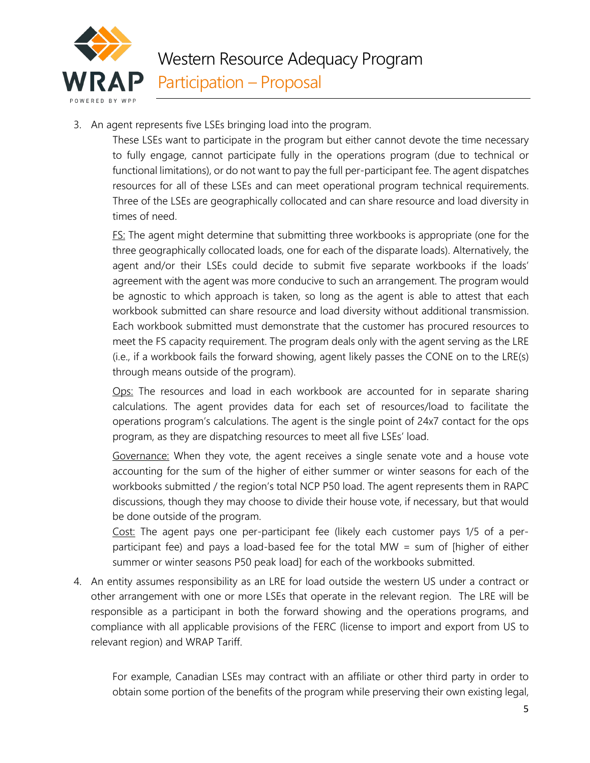

3. An agent represents five LSEs bringing load into the program.

These LSEs want to participate in the program but either cannot devote the time necessary to fully engage, cannot participate fully in the operations program (due to technical or functional limitations), or do not want to pay the full per-participant fee. The agent dispatches resources for all of these LSEs and can meet operational program technical requirements. Three of the LSEs are geographically collocated and can share resource and load diversity in times of need.

**FS:** The agent might determine that submitting three workbooks is appropriate (one for the three geographically collocated loads, one for each of the disparate loads). Alternatively, the agent and/or their LSEs could decide to submit five separate workbooks if the loads' agreement with the agent was more conducive to such an arrangement. The program would be agnostic to which approach is taken, so long as the agent is able to attest that each workbook submitted can share resource and load diversity without additional transmission. Each workbook submitted must demonstrate that the customer has procured resources to meet the FS capacity requirement. The program deals only with the agent serving as the LRE (i.e., if a workbook fails the forward showing, agent likely passes the CONE on to the LRE(s) through means outside of the program).

Ops: The resources and load in each workbook are accounted for in separate sharing calculations. The agent provides data for each set of resources/load to facilitate the operations program's calculations. The agent is the single point of 24x7 contact for the ops program, as they are dispatching resources to meet all five LSEs' load.

Governance: When they vote, the agent receives a single senate vote and a house vote accounting for the sum of the higher of either summer or winter seasons for each of the workbooks submitted / the region's total NCP P50 load. The agent represents them in RAPC discussions, though they may choose to divide their house vote, if necessary, but that would be done outside of the program.

Cost: The agent pays one per-participant fee (likely each customer pays 1/5 of a perparticipant fee) and pays a load-based fee for the total MW = sum of [higher of either summer or winter seasons P50 peak load] for each of the workbooks submitted.

4. An entity assumes responsibility as an LRE for load outside the western US under a contract or other arrangement with one or more LSEs that operate in the relevant region. The LRE will be responsible as a participant in both the forward showing and the operations programs, and compliance with all applicable provisions of the FERC (license to import and export from US to relevant region) and WRAP Tariff.

For example, Canadian LSEs may contract with an affiliate or other third party in order to obtain some portion of the benefits of the program while preserving their own existing legal,